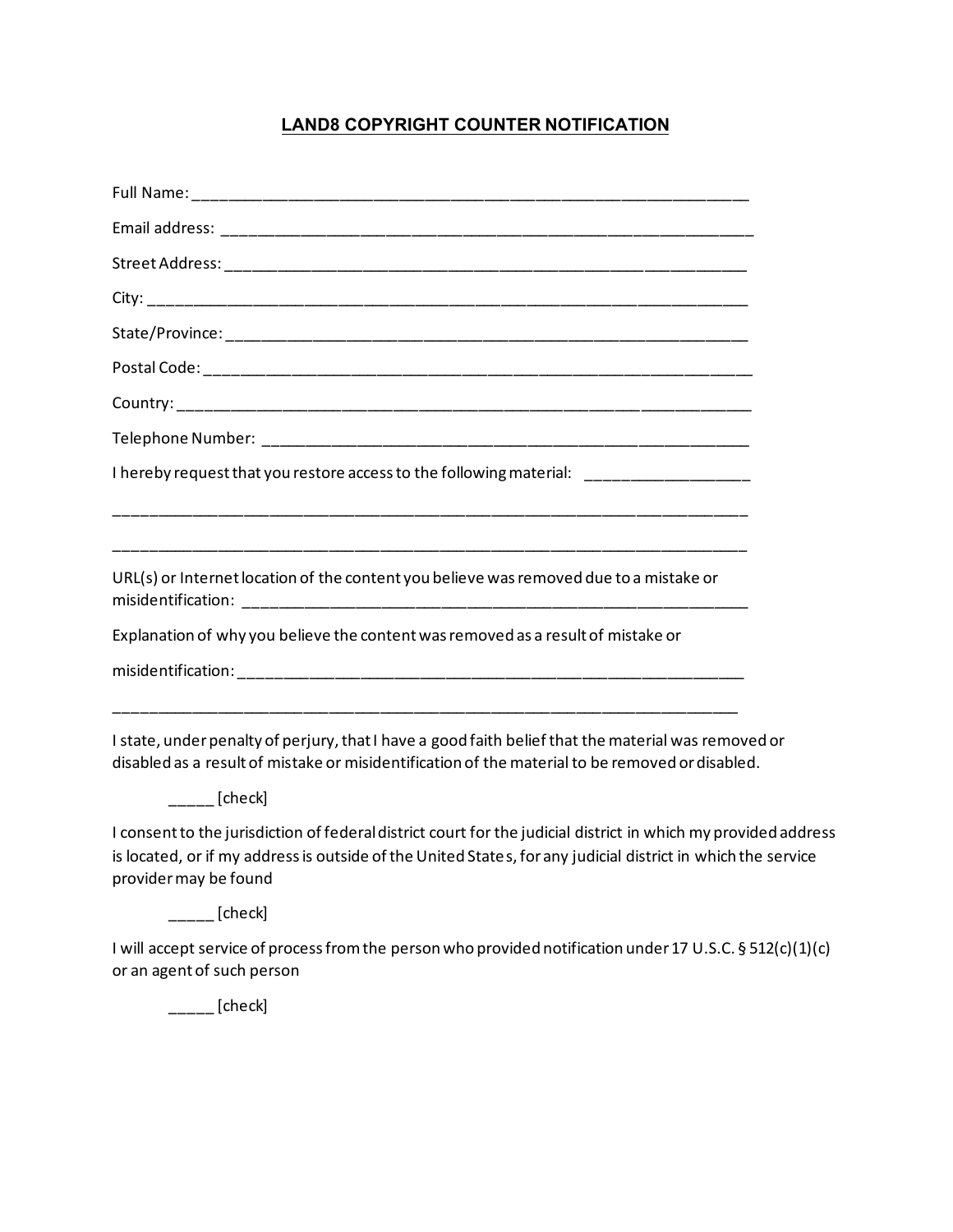## **LAND8 COPYRIGHT COUNTER NOTIFICATION**

| I hereby request that you restore access to the following material: _____________                                                                                                                                                                       |  |
|---------------------------------------------------------------------------------------------------------------------------------------------------------------------------------------------------------------------------------------------------------|--|
|                                                                                                                                                                                                                                                         |  |
| URL(s) or Internet location of the content you believe was removed due to a mistake or                                                                                                                                                                  |  |
| Explanation of why you believe the content was removed as a result of mistake or                                                                                                                                                                        |  |
|                                                                                                                                                                                                                                                         |  |
|                                                                                                                                                                                                                                                         |  |
| I state, under penalty of perjury, that I have a good faith belief that the material was removed or<br>disabled as a result of mistake or misidentification of the material to be removed or disabled.                                                  |  |
| [check]                                                                                                                                                                                                                                                 |  |
| I consent to the jurisdiction of federal district court for the judicial district in which my provided address<br>is located, or if my address is outside of the United States, for any judicial district in which the service<br>provider may be found |  |

 $\frac{1}{2}$  [check]

I will accept service of process from the person who provided notification under 17 U.S.C. § 512(c)(1)(c) or an agent of such person

 $\frac{1}{2}$  [check]